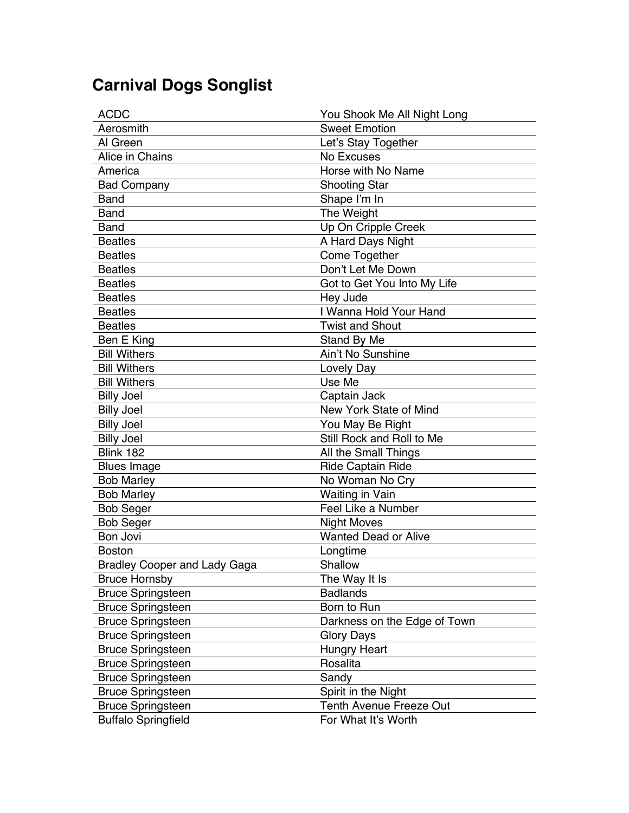## **Carnival Dogs Songlist**

| <b>ACDC</b>                         | You Shook Me All Night Long  |
|-------------------------------------|------------------------------|
| Aerosmith                           | <b>Sweet Emotion</b>         |
| Al Green                            | Let's Stay Together          |
| Alice in Chains                     | No Excuses                   |
| America                             | Horse with No Name           |
| <b>Bad Company</b>                  | <b>Shooting Star</b>         |
| <b>Band</b>                         | Shape I'm In                 |
| <b>Band</b>                         | The Weight                   |
| <b>Band</b>                         | Up On Cripple Creek          |
| <b>Beatles</b>                      | A Hard Days Night            |
| <b>Beatles</b>                      | Come Together                |
| <b>Beatles</b>                      | Don't Let Me Down            |
| <b>Beatles</b>                      | Got to Get You Into My Life  |
| <b>Beatles</b>                      | Hey Jude                     |
| <b>Beatles</b>                      | I Wanna Hold Your Hand       |
| <b>Beatles</b>                      | <b>Twist and Shout</b>       |
| Ben E King                          | Stand By Me                  |
| <b>Bill Withers</b>                 | Ain't No Sunshine            |
| <b>Bill Withers</b>                 | Lovely Day                   |
| <b>Bill Withers</b>                 | Use Me                       |
| <b>Billy Joel</b>                   | Captain Jack                 |
| <b>Billy Joel</b>                   | New York State of Mind       |
| <b>Billy Joel</b>                   | You May Be Right             |
| <b>Billy Joel</b>                   | Still Rock and Roll to Me    |
| Blink 182                           | All the Small Things         |
| <b>Blues Image</b>                  | <b>Ride Captain Ride</b>     |
| <b>Bob Marley</b>                   | No Woman No Cry              |
| <b>Bob Marley</b>                   | <b>Waiting in Vain</b>       |
| <b>Bob Seger</b>                    | Feel Like a Number           |
| <b>Bob Seger</b>                    | <b>Night Moves</b>           |
| <b>Bon Jovi</b>                     | <b>Wanted Dead or Alive</b>  |
| <b>Boston</b>                       | Longtime                     |
| <b>Bradley Cooper and Lady Gaga</b> | Shallow                      |
| <b>Bruce Hornsby</b>                | The Way It Is                |
| <b>Bruce Springsteen</b>            | <b>Badlands</b>              |
| <b>Bruce Springsteen</b>            | Born to Run                  |
| <b>Bruce Springsteen</b>            | Darkness on the Edge of Town |
| <b>Bruce Springsteen</b>            | <b>Glory Days</b>            |
| <b>Bruce Springsteen</b>            | <b>Hungry Heart</b>          |
| <b>Bruce Springsteen</b>            | Rosalita                     |
| <b>Bruce Springsteen</b>            | Sandy                        |
| <b>Bruce Springsteen</b>            | Spirit in the Night          |
| <b>Bruce Springsteen</b>            | Tenth Avenue Freeze Out      |
| <b>Buffalo Springfield</b>          | For What It's Worth          |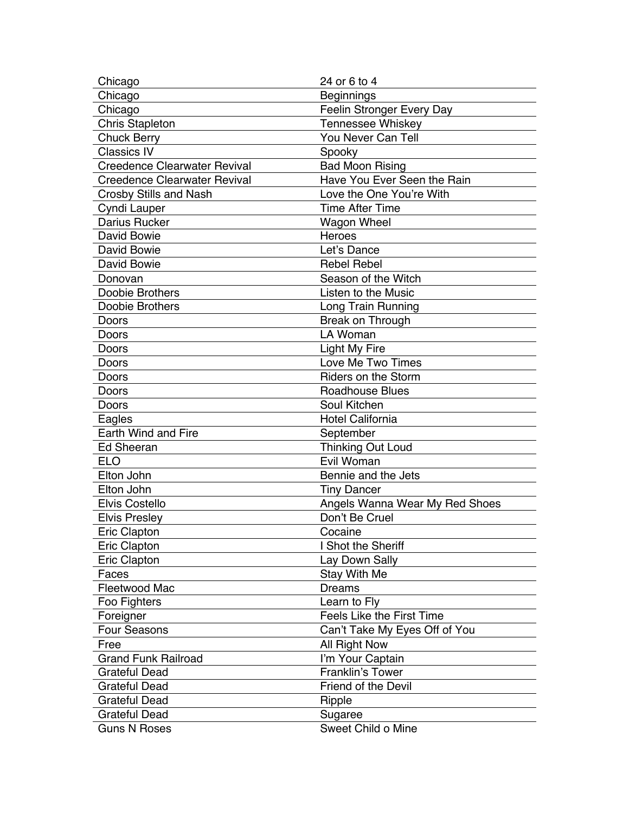| Chicago                             | 24 or 6 to 4                     |
|-------------------------------------|----------------------------------|
| Chicago                             | <b>Beginnings</b>                |
| Chicago                             | Feelin Stronger Every Day        |
| <b>Chris Stapleton</b>              | Tennessee Whiskey                |
| <b>Chuck Berry</b>                  | You Never Can Tell               |
| <b>Classics IV</b>                  | Spooky                           |
| <b>Creedence Clearwater Revival</b> | <b>Bad Moon Rising</b>           |
| <b>Creedence Clearwater Revival</b> | Have You Ever Seen the Rain      |
| <b>Crosby Stills and Nash</b>       | Love the One You're With         |
| Cyndi Lauper                        | <b>Time After Time</b>           |
| <b>Darius Rucker</b>                | Wagon Wheel                      |
| David Bowie                         | <b>Heroes</b>                    |
| David Bowie                         | Let's Dance                      |
| David Bowie                         | <b>Rebel Rebel</b>               |
| Donovan                             | Season of the Witch              |
| <b>Doobie Brothers</b>              | Listen to the Music              |
| Doobie Brothers                     | Long Train Running               |
| Doors                               | Break on Through                 |
| Doors                               | LA Woman                         |
| Doors                               | Light My Fire                    |
| Doors                               | Love Me Two Times                |
| Doors                               | <b>Riders on the Storm</b>       |
| Doors                               | <b>Roadhouse Blues</b>           |
| Doors                               | Soul Kitchen                     |
| Eagles                              | <b>Hotel California</b>          |
| Earth Wind and Fire                 | September                        |
| <b>Ed Sheeran</b>                   | <b>Thinking Out Loud</b>         |
| <b>ELO</b>                          | Evil Woman                       |
| Elton John                          | Bennie and the Jets              |
| Elton John                          | <b>Tiny Dancer</b>               |
| <b>Elvis Costello</b>               | Angels Wanna Wear My Red Shoes   |
| <b>Elvis Presley</b>                | Don't Be Cruel                   |
| Eric Clapton                        | Cocaine                          |
| Eric Clapton                        | I Shot the Sheriff               |
| Eric Clapton                        | Lay Down Sally                   |
| Faces                               | <b>Stay With Me</b>              |
| Fleetwood Mac                       | <b>Dreams</b>                    |
| Foo Fighters                        | Learn to Fly                     |
| Foreigner                           | <b>Feels Like the First Time</b> |
| <b>Four Seasons</b>                 | Can't Take My Eyes Off of You    |
| Free                                | All Right Now                    |
| <b>Grand Funk Railroad</b>          | I'm Your Captain                 |
| <b>Grateful Dead</b>                | <b>Franklin's Tower</b>          |
| <b>Grateful Dead</b>                | Friend of the Devil              |
| <b>Grateful Dead</b>                | Ripple                           |
| <b>Grateful Dead</b>                | Sugaree                          |
| <b>Guns N Roses</b>                 | Sweet Child o Mine               |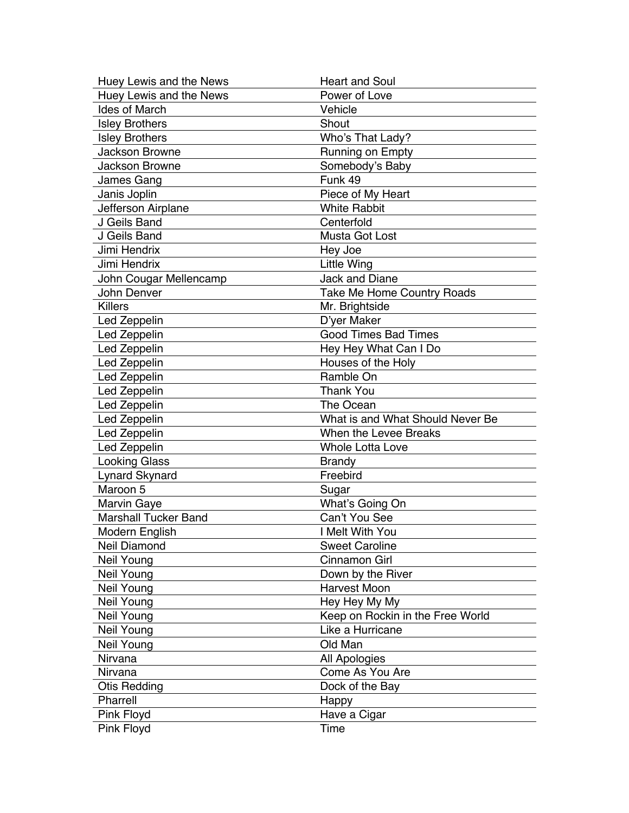| Huey Lewis and the News     | <b>Heart and Soul</b>             |
|-----------------------------|-----------------------------------|
| Huey Lewis and the News     | Power of Love                     |
| <b>Ides of March</b>        | Vehicle                           |
| <b>Isley Brothers</b>       | Shout                             |
| <b>Isley Brothers</b>       | Who's That Lady?                  |
| <b>Jackson Browne</b>       | Running on Empty                  |
| <b>Jackson Browne</b>       | Somebody's Baby                   |
| James Gang                  | Funk 49                           |
| Janis Joplin                | Piece of My Heart                 |
| Jefferson Airplane          | <b>White Rabbit</b>               |
| J Geils Band                | Centerfold                        |
| J Geils Band                | Musta Got Lost                    |
| Jimi Hendrix                | Hey Joe                           |
| Jimi Hendrix                | <b>Little Wing</b>                |
| John Cougar Mellencamp      | Jack and Diane                    |
| John Denver                 | <b>Take Me Home Country Roads</b> |
| <b>Killers</b>              | Mr. Brightside                    |
| Led Zeppelin                | D'yer Maker                       |
| Led Zeppelin                | <b>Good Times Bad Times</b>       |
| Led Zeppelin                | Hey Hey What Can I Do             |
| Led Zeppelin                | Houses of the Holy                |
| Led Zeppelin                | Ramble On                         |
| Led Zeppelin                | <b>Thank You</b>                  |
| Led Zeppelin                | The Ocean                         |
| Led Zeppelin                | What is and What Should Never Be  |
| Led Zeppelin                | When the Levee Breaks             |
| Led Zeppelin                | <b>Whole Lotta Love</b>           |
| <b>Looking Glass</b>        | <b>Brandy</b>                     |
| <b>Lynard Skynard</b>       | Freebird                          |
| Maroon 5                    | Sugar                             |
| <b>Marvin Gaye</b>          | What's Going On                   |
| <b>Marshall Tucker Band</b> | Can't You See                     |
| Modern English              | I Melt With You                   |
| Neil Diamond                | <b>Sweet Caroline</b>             |
| Neil Young                  | Cinnamon Girl                     |
| Neil Young                  | Down by the River                 |
| Neil Young                  | <b>Harvest Moon</b>               |
| Neil Young                  | Hey Hey My My                     |
| Neil Young                  | Keep on Rockin in the Free World  |
| Neil Young                  | Like a Hurricane                  |
| Neil Young                  | Old Man                           |
| Nirvana                     | All Apologies                     |
| Nirvana                     | Come As You Are                   |
| <b>Otis Redding</b>         | Dock of the Bay                   |
| Pharrell                    | Happy                             |
| Pink Floyd                  | Have a Cigar                      |
| Pink Floyd                  | Time                              |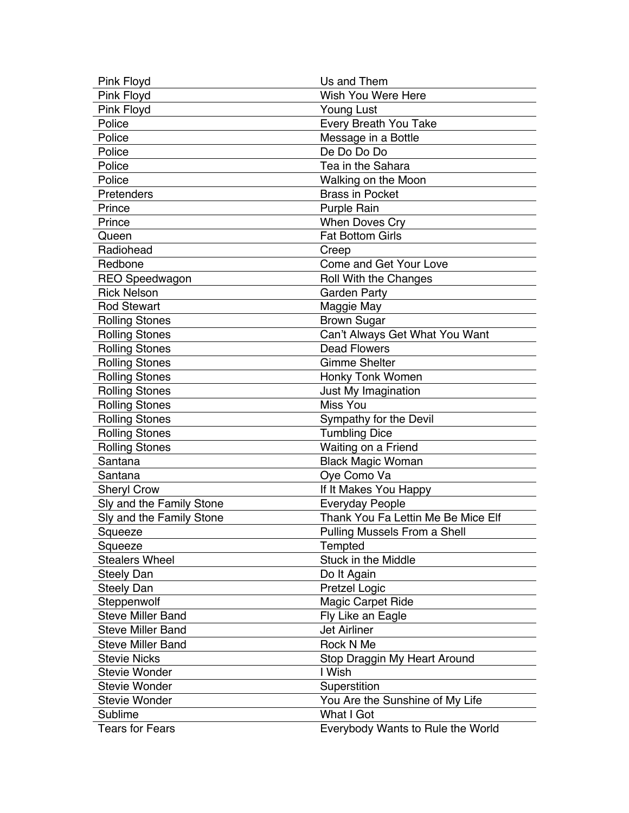| Pink Floyd               | Us and Them                        |
|--------------------------|------------------------------------|
| Pink Floyd               | Wish You Were Here                 |
| Pink Floyd               | <b>Young Lust</b>                  |
| Police                   | Every Breath You Take              |
| Police                   | Message in a Bottle                |
| Police                   | De Do Do Do                        |
| Police                   | Tea in the Sahara                  |
| Police                   | Walking on the Moon                |
| Pretenders               | <b>Brass in Pocket</b>             |
| Prince                   | Purple Rain                        |
| Prince                   | <b>When Doves Cry</b>              |
| Queen                    | <b>Fat Bottom Girls</b>            |
| Radiohead                | Creep                              |
| Redbone                  | Come and Get Your Love             |
| <b>REO Speedwagon</b>    | Roll With the Changes              |
| <b>Rick Nelson</b>       | <b>Garden Party</b>                |
| <b>Rod Stewart</b>       | Maggie May                         |
| <b>Rolling Stones</b>    | <b>Brown Sugar</b>                 |
| <b>Rolling Stones</b>    | Can't Always Get What You Want     |
| <b>Rolling Stones</b>    | <b>Dead Flowers</b>                |
| <b>Rolling Stones</b>    | <b>Gimme Shelter</b>               |
| <b>Rolling Stones</b>    | Honky Tonk Women                   |
| <b>Rolling Stones</b>    | Just My Imagination                |
| <b>Rolling Stones</b>    | <b>Miss You</b>                    |
| <b>Rolling Stones</b>    | Sympathy for the Devil             |
| <b>Rolling Stones</b>    | <b>Tumbling Dice</b>               |
| <b>Rolling Stones</b>    | Waiting on a Friend                |
| Santana                  | <b>Black Magic Woman</b>           |
| Santana                  | Oye Como Va                        |
| <b>Sheryl Crow</b>       | If It Makes You Happy              |
| Sly and the Family Stone | <b>Everyday People</b>             |
| Sly and the Family Stone | Thank You Fa Lettin Me Be Mice Elf |
| Squeeze                  | Pulling Mussels From a Shell       |
| Squeeze                  | <b>Tempted</b>                     |
| <b>Stealers Wheel</b>    | Stuck in the Middle                |
| <b>Steely Dan</b>        | Do It Again                        |
| <b>Steely Dan</b>        | Pretzel Logic                      |
| Steppenwolf              | Magic Carpet Ride                  |
| <b>Steve Miller Band</b> | Fly Like an Eagle                  |
| <b>Steve Miller Band</b> | <b>Jet Airliner</b>                |
| <b>Steve Miller Band</b> | Rock N Me                          |
| <b>Stevie Nicks</b>      | Stop Draggin My Heart Around       |
| <b>Stevie Wonder</b>     | I Wish                             |
| <b>Stevie Wonder</b>     | Superstition                       |
| <b>Stevie Wonder</b>     | You Are the Sunshine of My Life    |
| Sublime                  | What I Got                         |
| <b>Tears for Fears</b>   | Everybody Wants to Rule the World  |